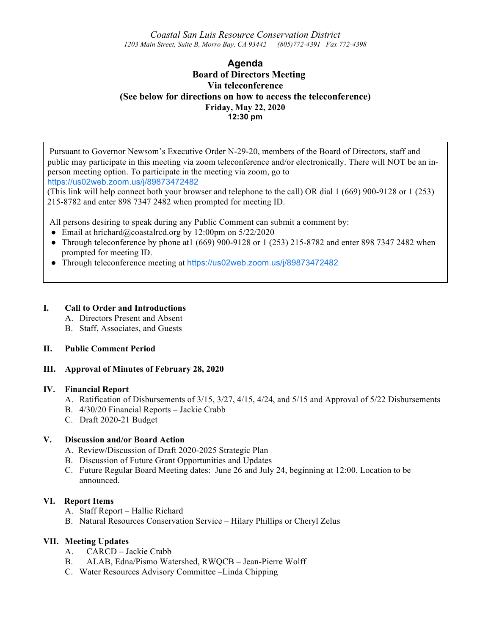*Coastal San Luis Resource Conservation District 1203 Main Street, Suite B, Morro Bay, CA 93442 (805)772-4391 Fax 772-4398*

# **Agenda Board of Directors Meeting Via teleconference (See below for directions on how to access the teleconference) Friday, May 22, 2020 12:30 pm**

Pursuant to Governor Newsom's Executive Order N-29-20, members of the Board of Directors, staff and public may participate in this meeting via zoom teleconference and/or electronically. There will NOT be an inperson meeting option. To participate in the meeting via zoom, go to https://us02web.zoom.us/j/89873472482

(This link will help connect both your browser and telephone to the call) OR dial 1 (669) 900-9128 or 1 (253) 215-8782 and enter 898 7347 2482 when prompted for meeting ID.

All persons desiring to speak during any Public Comment can submit a comment by:

- Email at hrichard@coastalrcd.org by 12:00pm on  $5/22/2020$
- Through teleconference by phone at  $(669)$  900-9128 or 1 $(253)$  215-8782 and enter 898 7347 2482 when prompted for meeting ID.
- Through teleconference meeting at https://us02web.zoom.us/j/89873472482

#### **I. Call to Order and Introductions**

- A. Directors Present and Absent
- B. Staff, Associates, and Guests

## **II. Public Comment Period**

## **III. Approval of Minutes of February 28, 2020**

#### **IV. Financial Report**

- A. Ratification of Disbursements of 3/15, 3/27, 4/15, 4/24, and 5/15 and Approval of 5/22 Disbursements
- B. 4/30/20 Financial Reports Jackie Crabb
- C. Draft 2020-21 Budget

## **V. Discussion and/or Board Action**

- A. Review/Discussion of Draft 2020-2025 Strategic Plan
- B. Discussion of Future Grant Opportunities and Updates
- C. Future Regular Board Meeting dates: June 26 and July 24, beginning at 12:00. Location to be announced.

#### **VI. Report Items**

- A. Staff Report Hallie Richard
- B. Natural Resources Conservation Service Hilary Phillips or Cheryl Zelus

## **VII. Meeting Updates**

- A. CARCD Jackie Crabb
- B. ALAB, Edna/Pismo Watershed, RWQCB Jean-Pierre Wolff
- C. Water Resources Advisory Committee –Linda Chipping